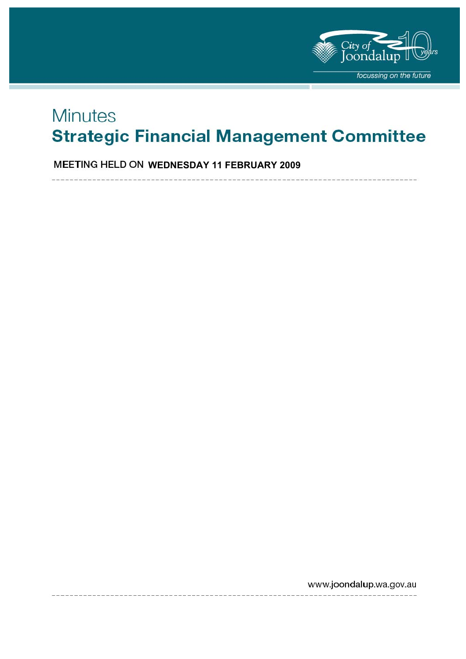

# **Minutes Strategic Financial Management Committee**

**MEETING HELD ON WEDNESDAY 11 FEBRUARY 2009** 

www.joondalup.wa.gov.au <u>.</u><br>2020 - Andreu Alexandro III di Antonio III di Antonio III di Antonio II di Antonio II di Antonio II di Antonio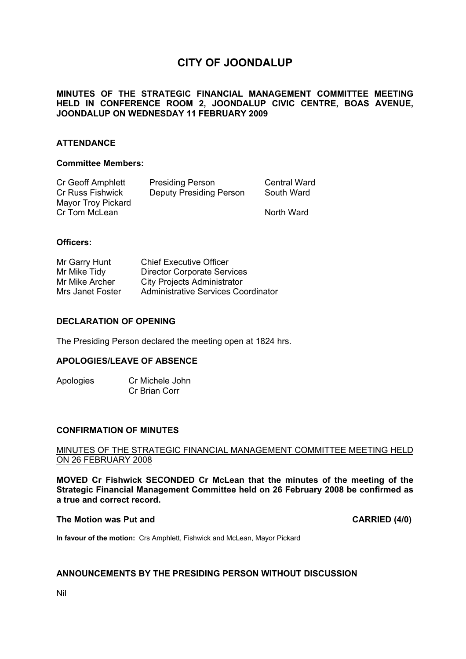# **CITY OF JOONDALUP**

# **MINUTES OF THE STRATEGIC FINANCIAL MANAGEMENT COMMITTEE MEETING HELD IN CONFERENCE ROOM 2, JOONDALUP CIVIC CENTRE, BOAS AVENUE, JOONDALUP ON WEDNESDAY 11 FEBRUARY 2009**

# **ATTENDANCE**

#### **Committee Members:**

| Cr Geoff Amphlett  | <b>Presiding Person</b>        | <b>Central Ward</b> |
|--------------------|--------------------------------|---------------------|
| Cr Russ Fishwick   | <b>Deputy Presiding Person</b> | South Ward          |
| Mayor Troy Pickard |                                |                     |
| Cr Tom McLean      |                                | North Ward          |

#### **Officers:**

| Mr Garry Hunt    | <b>Chief Executive Officer</b>      |
|------------------|-------------------------------------|
| Mr Mike Tidy     | <b>Director Corporate Services</b>  |
| Mr Mike Archer   | <b>City Projects Administrator</b>  |
| Mrs Janet Foster | Administrative Services Coordinator |

## **DECLARATION OF OPENING**

The Presiding Person declared the meeting open at 1824 hrs.

# **APOLOGIES/LEAVE OF ABSENCE**

Apologies Cr Michele John Cr Brian Corr

#### **CONFIRMATION OF MINUTES**

#### MINUTES OF THE STRATEGIC FINANCIAL MANAGEMENT COMMITTEE MEETING HELD ON 26 FEBRUARY 2008

**MOVED Cr Fishwick SECONDED Cr McLean that the minutes of the meeting of the Strategic Financial Management Committee held on 26 February 2008 be confirmed as a true and correct record.** 

## The Motion was Put and **CARRIED** (4/0)

**In favour of the motion:** Crs Amphlett, Fishwick and McLean, Mayor Pickard

# **ANNOUNCEMENTS BY THE PRESIDING PERSON WITHOUT DISCUSSION**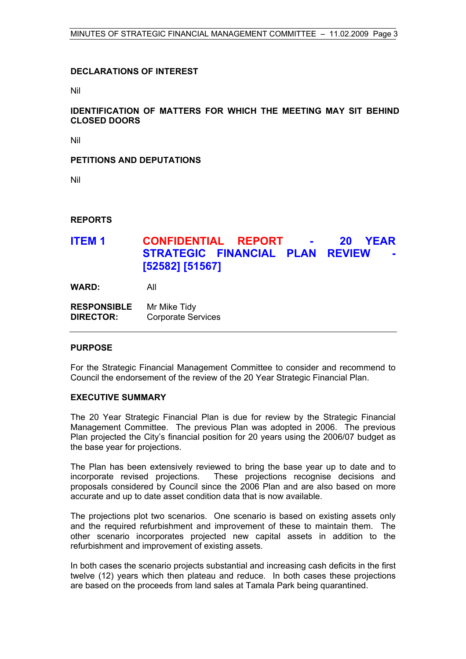# **DECLARATIONS OF INTEREST**

Nil

# **IDENTIFICATION OF MATTERS FOR WHICH THE MEETING MAY SIT BEHIND CLOSED DOORS**

Nil

# **PETITIONS AND DEPUTATIONS**

Nil

# **REPORTS**

# **ITEM 1 CONFIDENTIAL REPORT - 20 YEAR STRATEGIC FINANCIAL PLAN REVIEW [52582] [51567]**

**WARD:** All

| <b>RESPONSIBLE</b> | Mr Mike Tidy              |
|--------------------|---------------------------|
| <b>DIRECTOR:</b>   | <b>Corporate Services</b> |

#### **PURPOSE**

For the Strategic Financial Management Committee to consider and recommend to Council the endorsement of the review of the 20 Year Strategic Financial Plan.

# **EXECUTIVE SUMMARY**

The 20 Year Strategic Financial Plan is due for review by the Strategic Financial Management Committee. The previous Plan was adopted in 2006. The previous Plan projected the City's financial position for 20 years using the 2006/07 budget as the base year for projections.

The Plan has been extensively reviewed to bring the base year up to date and to incorporate revised projections. These projections recognise decisions and proposals considered by Council since the 2006 Plan and are also based on more accurate and up to date asset condition data that is now available.

The projections plot two scenarios. One scenario is based on existing assets only and the required refurbishment and improvement of these to maintain them. The other scenario incorporates projected new capital assets in addition to the refurbishment and improvement of existing assets.

In both cases the scenario projects substantial and increasing cash deficits in the first twelve (12) years which then plateau and reduce. In both cases these projections are based on the proceeds from land sales at Tamala Park being quarantined.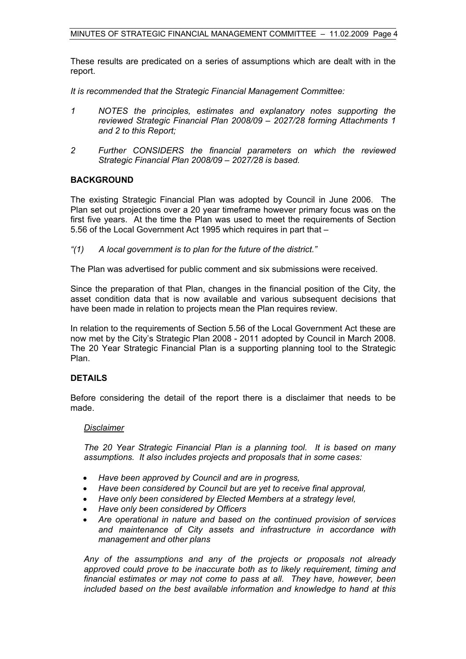These results are predicated on a series of assumptions which are dealt with in the report.

*It is recommended that the Strategic Financial Management Committee:* 

- *1 NOTES the principles, estimates and explanatory notes supporting the reviewed Strategic Financial Plan 2008/09 – 2027/28 forming Attachments 1 and 2 to this Report;*
- *2 Further CONSIDERS the financial parameters on which the reviewed Strategic Financial Plan 2008/09 – 2027/28 is based.*

#### **BACKGROUND**

The existing Strategic Financial Plan was adopted by Council in June 2006. The Plan set out projections over a 20 year timeframe however primary focus was on the first five years. At the time the Plan was used to meet the requirements of Section 5.56 of the Local Government Act 1995 which requires in part that –

*"(1) A local government is to plan for the future of the district."* 

The Plan was advertised for public comment and six submissions were received.

Since the preparation of that Plan, changes in the financial position of the City, the asset condition data that is now available and various subsequent decisions that have been made in relation to projects mean the Plan requires review.

In relation to the requirements of Section 5.56 of the Local Government Act these are now met by the City's Strategic Plan 2008 - 2011 adopted by Council in March 2008. The 20 Year Strategic Financial Plan is a supporting planning tool to the Strategic Plan.

#### **DETAILS**

Before considering the detail of the report there is a disclaimer that needs to be made.

#### *Disclaimer*

*The 20 Year Strategic Financial Plan is a planning tool. It is based on many assumptions. It also includes projects and proposals that in some cases:* 

- *Have been approved by Council and are in progress,*
- *Have been considered by Council but are yet to receive final approval,*
- *Have only been considered by Elected Members at a strategy level,*
- *Have only been considered by Officers*
- *Are operational in nature and based on the continued provision of services and maintenance of City assets and infrastructure in accordance with management and other plans*

*Any of the assumptions and any of the projects or proposals not already approved could prove to be inaccurate both as to likely requirement, timing and financial estimates or may not come to pass at all. They have, however, been included based on the best available information and knowledge to hand at this*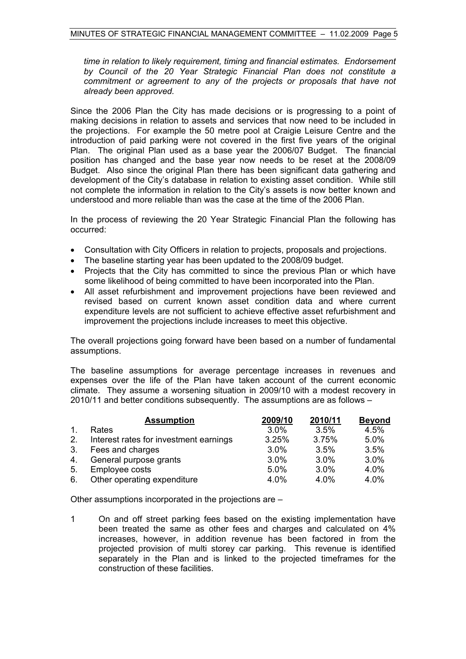*time in relation to likely requirement, timing and financial estimates. Endorsement by Council of the 20 Year Strategic Financial Plan does not constitute a commitment or agreement to any of the projects or proposals that have not already been approved.* 

Since the 2006 Plan the City has made decisions or is progressing to a point of making decisions in relation to assets and services that now need to be included in the projections. For example the 50 metre pool at Craigie Leisure Centre and the introduction of paid parking were not covered in the first five years of the original Plan. The original Plan used as a base year the 2006/07 Budget. The financial position has changed and the base year now needs to be reset at the 2008/09 Budget. Also since the original Plan there has been significant data gathering and development of the City's database in relation to existing asset condition. While still not complete the information in relation to the City's assets is now better known and understood and more reliable than was the case at the time of the 2006 Plan.

In the process of reviewing the 20 Year Strategic Financial Plan the following has occurred:

- Consultation with City Officers in relation to projects, proposals and projections.
- The baseline starting year has been updated to the 2008/09 budget.
- Projects that the City has committed to since the previous Plan or which have some likelihood of being committed to have been incorporated into the Plan.
- All asset refurbishment and improvement projections have been reviewed and revised based on current known asset condition data and where current expenditure levels are not sufficient to achieve effective asset refurbishment and improvement the projections include increases to meet this objective.

The overall projections going forward have been based on a number of fundamental assumptions.

The baseline assumptions for average percentage increases in revenues and expenses over the life of the Plan have taken account of the current economic climate. They assume a worsening situation in 2009/10 with a modest recovery in 2010/11 and better conditions subsequently. The assumptions are as follows –

|                | <b>Assumption</b>                      | 2009/10 | 2010/11 | <b>Beyond</b> |
|----------------|----------------------------------------|---------|---------|---------------|
| $\mathbf{1}$ . | Rates                                  | 3.0%    | 3.5%    | 4.5%          |
| 2.             | Interest rates for investment earnings | 3.25%   | 3.75%   | 5.0%          |
| 3.             | Fees and charges                       | 3.0%    | 3.5%    | 3.5%          |
| 4.             | General purpose grants                 | 3.0%    | $3.0\%$ | 3.0%          |
| 5.             | Employee costs                         | 5.0%    | 3.0%    | 4.0%          |
| 6.             | Other operating expenditure            | 4.0%    | 4.0%    | 4.0%          |

Other assumptions incorporated in the projections are –

1 On and off street parking fees based on the existing implementation have been treated the same as other fees and charges and calculated on 4% increases, however, in addition revenue has been factored in from the projected provision of multi storey car parking. This revenue is identified separately in the Plan and is linked to the projected timeframes for the construction of these facilities.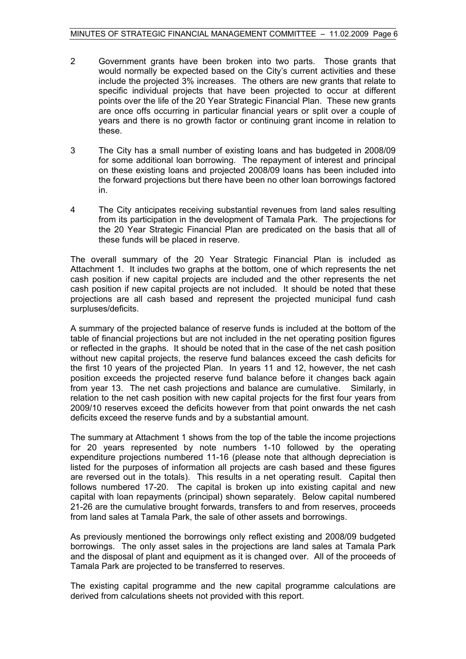- 2 Government grants have been broken into two parts. Those grants that would normally be expected based on the City's current activities and these include the projected 3% increases. The others are new grants that relate to specific individual projects that have been projected to occur at different points over the life of the 20 Year Strategic Financial Plan. These new grants are once offs occurring in particular financial years or split over a couple of years and there is no growth factor or continuing grant income in relation to these.
- 3 The City has a small number of existing loans and has budgeted in 2008/09 for some additional loan borrowing. The repayment of interest and principal on these existing loans and projected 2008/09 loans has been included into the forward projections but there have been no other loan borrowings factored in.
- 4 The City anticipates receiving substantial revenues from land sales resulting from its participation in the development of Tamala Park. The projections for the 20 Year Strategic Financial Plan are predicated on the basis that all of these funds will be placed in reserve.

The overall summary of the 20 Year Strategic Financial Plan is included as Attachment 1. It includes two graphs at the bottom, one of which represents the net cash position if new capital projects are included and the other represents the net cash position if new capital projects are not included. It should be noted that these projections are all cash based and represent the projected municipal fund cash surpluses/deficits.

A summary of the projected balance of reserve funds is included at the bottom of the table of financial projections but are not included in the net operating position figures or reflected in the graphs. It should be noted that in the case of the net cash position without new capital projects, the reserve fund balances exceed the cash deficits for the first 10 years of the projected Plan. In years 11 and 12, however, the net cash position exceeds the projected reserve fund balance before it changes back again from year 13. The net cash projections and balance are cumulative. Similarly, in relation to the net cash position with new capital projects for the first four years from 2009/10 reserves exceed the deficits however from that point onwards the net cash deficits exceed the reserve funds and by a substantial amount.

The summary at Attachment 1 shows from the top of the table the income projections for 20 years represented by note numbers 1-10 followed by the operating expenditure projections numbered 11-16 (please note that although depreciation is listed for the purposes of information all projects are cash based and these figures are reversed out in the totals). This results in a net operating result. Capital then follows numbered 17-20. The capital is broken up into existing capital and new capital with loan repayments (principal) shown separately. Below capital numbered 21-26 are the cumulative brought forwards, transfers to and from reserves, proceeds from land sales at Tamala Park, the sale of other assets and borrowings.

As previously mentioned the borrowings only reflect existing and 2008/09 budgeted borrowings. The only asset sales in the projections are land sales at Tamala Park and the disposal of plant and equipment as it is changed over. All of the proceeds of Tamala Park are projected to be transferred to reserves.

The existing capital programme and the new capital programme calculations are derived from calculations sheets not provided with this report.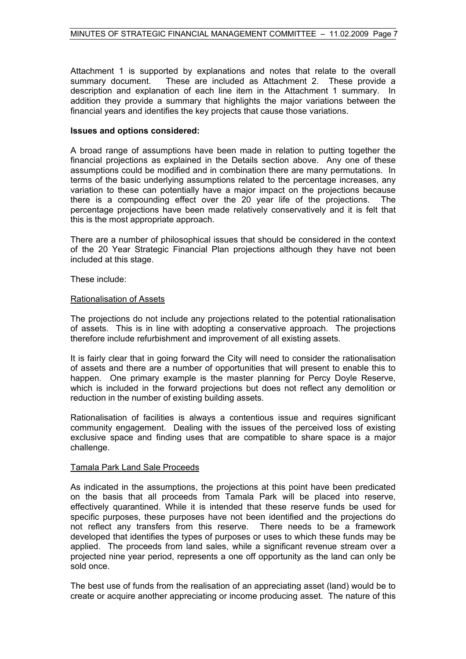Attachment 1 is supported by explanations and notes that relate to the overall summary document. These are included as Attachment 2. These provide a description and explanation of each line item in the Attachment 1 summary. In addition they provide a summary that highlights the major variations between the financial years and identifies the key projects that cause those variations.

#### **Issues and options considered:**

A broad range of assumptions have been made in relation to putting together the financial projections as explained in the Details section above. Any one of these assumptions could be modified and in combination there are many permutations. In terms of the basic underlying assumptions related to the percentage increases, any variation to these can potentially have a major impact on the projections because there is a compounding effect over the 20 year life of the projections. The percentage projections have been made relatively conservatively and it is felt that this is the most appropriate approach.

There are a number of philosophical issues that should be considered in the context of the 20 Year Strategic Financial Plan projections although they have not been included at this stage.

These include:

#### Rationalisation of Assets

The projections do not include any projections related to the potential rationalisation of assets. This is in line with adopting a conservative approach. The projections therefore include refurbishment and improvement of all existing assets.

It is fairly clear that in going forward the City will need to consider the rationalisation of assets and there are a number of opportunities that will present to enable this to happen. One primary example is the master planning for Percy Doyle Reserve, which is included in the forward projections but does not reflect any demolition or reduction in the number of existing building assets.

Rationalisation of facilities is always a contentious issue and requires significant community engagement. Dealing with the issues of the perceived loss of existing exclusive space and finding uses that are compatible to share space is a major challenge.

# Tamala Park Land Sale Proceeds

As indicated in the assumptions, the projections at this point have been predicated on the basis that all proceeds from Tamala Park will be placed into reserve, effectively quarantined. While it is intended that these reserve funds be used for specific purposes, these purposes have not been identified and the projections do not reflect any transfers from this reserve. There needs to be a framework developed that identifies the types of purposes or uses to which these funds may be applied. The proceeds from land sales, while a significant revenue stream over a projected nine year period, represents a one off opportunity as the land can only be sold once.

The best use of funds from the realisation of an appreciating asset (land) would be to create or acquire another appreciating or income producing asset. The nature of this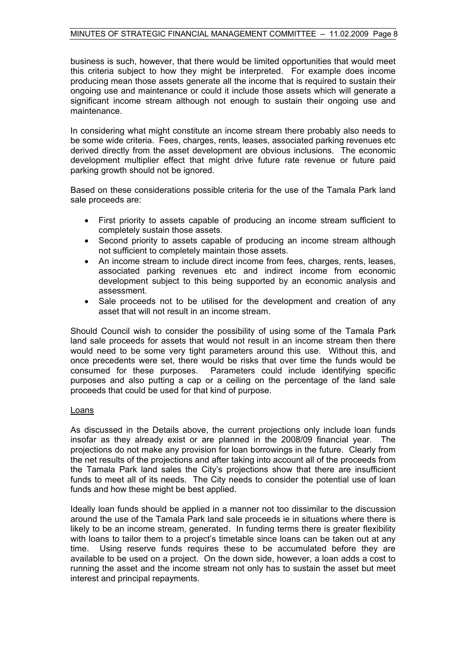business is such, however, that there would be limited opportunities that would meet this criteria subject to how they might be interpreted. For example does income producing mean those assets generate all the income that is required to sustain their ongoing use and maintenance or could it include those assets which will generate a significant income stream although not enough to sustain their ongoing use and maintenance.

In considering what might constitute an income stream there probably also needs to be some wide criteria. Fees, charges, rents, leases, associated parking revenues etc derived directly from the asset development are obvious inclusions. The economic development multiplier effect that might drive future rate revenue or future paid parking growth should not be ignored.

Based on these considerations possible criteria for the use of the Tamala Park land sale proceeds are:

- First priority to assets capable of producing an income stream sufficient to completely sustain those assets.
- Second priority to assets capable of producing an income stream although not sufficient to completely maintain those assets.
- An income stream to include direct income from fees, charges, rents, leases, associated parking revenues etc and indirect income from economic development subject to this being supported by an economic analysis and assessment.
- Sale proceeds not to be utilised for the development and creation of any asset that will not result in an income stream.

Should Council wish to consider the possibility of using some of the Tamala Park land sale proceeds for assets that would not result in an income stream then there would need to be some very tight parameters around this use. Without this, and once precedents were set, there would be risks that over time the funds would be consumed for these purposes. Parameters could include identifying specific purposes and also putting a cap or a ceiling on the percentage of the land sale proceeds that could be used for that kind of purpose.

#### Loans

As discussed in the Details above, the current projections only include loan funds insofar as they already exist or are planned in the 2008/09 financial year. The projections do not make any provision for loan borrowings in the future. Clearly from the net results of the projections and after taking into account all of the proceeds from the Tamala Park land sales the City's projections show that there are insufficient funds to meet all of its needs. The City needs to consider the potential use of loan funds and how these might be best applied.

Ideally loan funds should be applied in a manner not too dissimilar to the discussion around the use of the Tamala Park land sale proceeds ie in situations where there is likely to be an income stream, generated. In funding terms there is greater flexibility with loans to tailor them to a project's timetable since loans can be taken out at any time. Using reserve funds requires these to be accumulated before they are available to be used on a project. On the down side, however, a loan adds a cost to running the asset and the income stream not only has to sustain the asset but meet interest and principal repayments.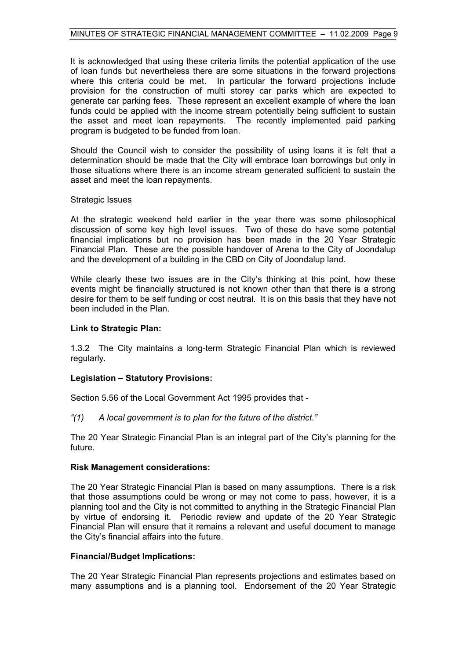It is acknowledged that using these criteria limits the potential application of the use of loan funds but nevertheless there are some situations in the forward projections where this criteria could be met. In particular the forward projections include provision for the construction of multi storey car parks which are expected to generate car parking fees. These represent an excellent example of where the loan funds could be applied with the income stream potentially being sufficient to sustain the asset and meet loan repayments. The recently implemented paid parking program is budgeted to be funded from loan.

Should the Council wish to consider the possibility of using loans it is felt that a determination should be made that the City will embrace loan borrowings but only in those situations where there is an income stream generated sufficient to sustain the asset and meet the loan repayments.

#### Strategic Issues

At the strategic weekend held earlier in the year there was some philosophical discussion of some key high level issues. Two of these do have some potential financial implications but no provision has been made in the 20 Year Strategic Financial Plan. These are the possible handover of Arena to the City of Joondalup and the development of a building in the CBD on City of Joondalup land.

While clearly these two issues are in the City's thinking at this point, how these events might be financially structured is not known other than that there is a strong desire for them to be self funding or cost neutral. It is on this basis that they have not been included in the Plan.

#### **Link to Strategic Plan:**

1.3.2 The City maintains a long-term Strategic Financial Plan which is reviewed regularly.

#### **Legislation – Statutory Provisions:**

Section 5.56 of the Local Government Act 1995 provides that -

*"(1) A local government is to plan for the future of the district."* 

The 20 Year Strategic Financial Plan is an integral part of the City's planning for the future.

#### **Risk Management considerations:**

The 20 Year Strategic Financial Plan is based on many assumptions. There is a risk that those assumptions could be wrong or may not come to pass, however, it is a planning tool and the City is not committed to anything in the Strategic Financial Plan by virtue of endorsing it. Periodic review and update of the 20 Year Strategic Financial Plan will ensure that it remains a relevant and useful document to manage the City's financial affairs into the future.

#### **Financial/Budget Implications:**

The 20 Year Strategic Financial Plan represents projections and estimates based on many assumptions and is a planning tool. Endorsement of the 20 Year Strategic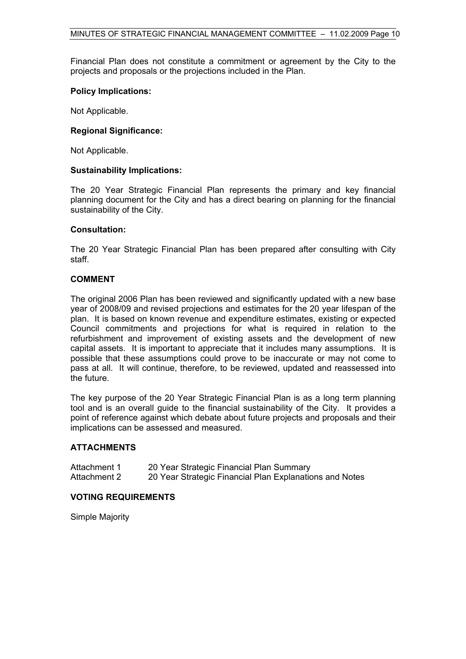Financial Plan does not constitute a commitment or agreement by the City to the projects and proposals or the projections included in the Plan.

#### **Policy Implications:**

Not Applicable.

#### **Regional Significance:**

Not Applicable.

#### **Sustainability Implications:**

The 20 Year Strategic Financial Plan represents the primary and key financial planning document for the City and has a direct bearing on planning for the financial sustainability of the City.

#### **Consultation:**

The 20 Year Strategic Financial Plan has been prepared after consulting with City staff.

#### **COMMENT**

The original 2006 Plan has been reviewed and significantly updated with a new base year of 2008/09 and revised projections and estimates for the 20 year lifespan of the plan. It is based on known revenue and expenditure estimates, existing or expected Council commitments and projections for what is required in relation to the refurbishment and improvement of existing assets and the development of new capital assets. It is important to appreciate that it includes many assumptions. It is possible that these assumptions could prove to be inaccurate or may not come to pass at all. It will continue, therefore, to be reviewed, updated and reassessed into the future.

The key purpose of the 20 Year Strategic Financial Plan is as a long term planning tool and is an overall guide to the financial sustainability of the City. It provides a point of reference against which debate about future projects and proposals and their implications can be assessed and measured.

#### **ATTACHMENTS**

| Attachment 1 | 20 Year Strategic Financial Plan Summary                |
|--------------|---------------------------------------------------------|
| Attachment 2 | 20 Year Strategic Financial Plan Explanations and Notes |

#### **VOTING REQUIREMENTS**

Simple Majority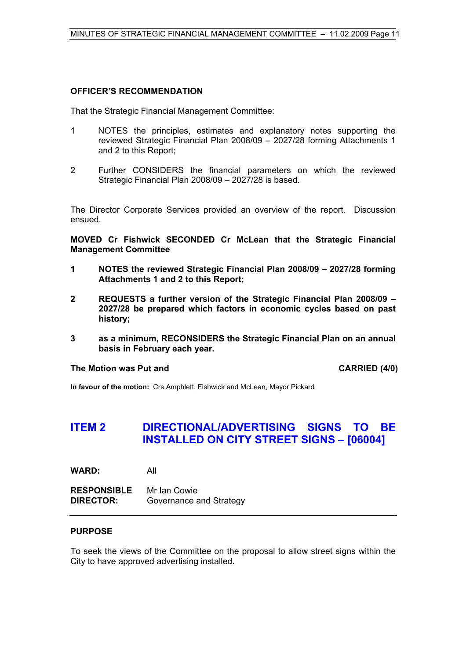# **OFFICER'S RECOMMENDATION**

That the Strategic Financial Management Committee:

- 1 NOTES the principles, estimates and explanatory notes supporting the reviewed Strategic Financial Plan 2008/09 – 2027/28 forming Attachments 1 and 2 to this Report;
- 2 Further CONSIDERS the financial parameters on which the reviewed Strategic Financial Plan 2008/09 – 2027/28 is based.

The Director Corporate Services provided an overview of the report. Discussion ensued.

**MOVED Cr Fishwick SECONDED Cr McLean that the Strategic Financial Management Committee** 

- **1 NOTES the reviewed Strategic Financial Plan 2008/09 2027/28 forming Attachments 1 and 2 to this Report;**
- **2 REQUESTS a further version of the Strategic Financial Plan 2008/09 2027/28 be prepared which factors in economic cycles based on past history;**
- **3 as a minimum, RECONSIDERS the Strategic Financial Plan on an annual basis in February each year.**

#### **The Motion was Put and CARRIED (4/0)**

**In favour of the motion:** Crs Amphlett, Fishwick and McLean, Mayor Pickard

# **ITEM 2 DIRECTIONAL/ADVERTISING SIGNS TO BE INSTALLED ON CITY STREET SIGNS – [06004]**

**WARD:** All

**RESPONSIBLE** Mr Ian Cowie **DIRECTOR:** Governance and Strategy

#### **PURPOSE**

To seek the views of the Committee on the proposal to allow street signs within the City to have approved advertising installed.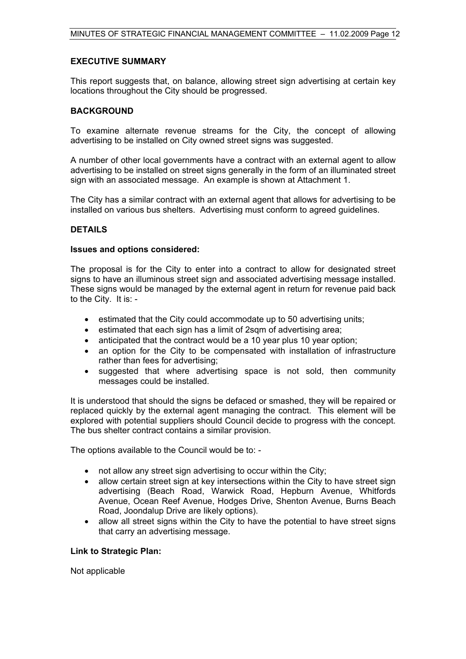#### **EXECUTIVE SUMMARY**

This report suggests that, on balance, allowing street sign advertising at certain key locations throughout the City should be progressed.

## **BACKGROUND**

To examine alternate revenue streams for the City, the concept of allowing advertising to be installed on City owned street signs was suggested.

A number of other local governments have a contract with an external agent to allow advertising to be installed on street signs generally in the form of an illuminated street sign with an associated message. An example is shown at Attachment 1.

The City has a similar contract with an external agent that allows for advertising to be installed on various bus shelters. Advertising must conform to agreed guidelines.

# **DETAILS**

#### **Issues and options considered:**

The proposal is for the City to enter into a contract to allow for designated street signs to have an illuminous street sign and associated advertising message installed. These signs would be managed by the external agent in return for revenue paid back to the City. It is: -

- estimated that the City could accommodate up to 50 advertising units;
- estimated that each sign has a limit of 2sqm of advertising area;
- anticipated that the contract would be a 10 year plus 10 year option;
- an option for the City to be compensated with installation of infrastructure rather than fees for advertising;
- suggested that where advertising space is not sold, then community messages could be installed.

It is understood that should the signs be defaced or smashed, they will be repaired or replaced quickly by the external agent managing the contract. This element will be explored with potential suppliers should Council decide to progress with the concept. The bus shelter contract contains a similar provision.

The options available to the Council would be to: -

- not allow any street sign advertising to occur within the City;
- allow certain street sign at key intersections within the City to have street sign advertising (Beach Road, Warwick Road, Hepburn Avenue, Whitfords Avenue, Ocean Reef Avenue, Hodges Drive, Shenton Avenue, Burns Beach Road, Joondalup Drive are likely options).
- allow all street signs within the City to have the potential to have street signs that carry an advertising message.

#### **Link to Strategic Plan:**

Not applicable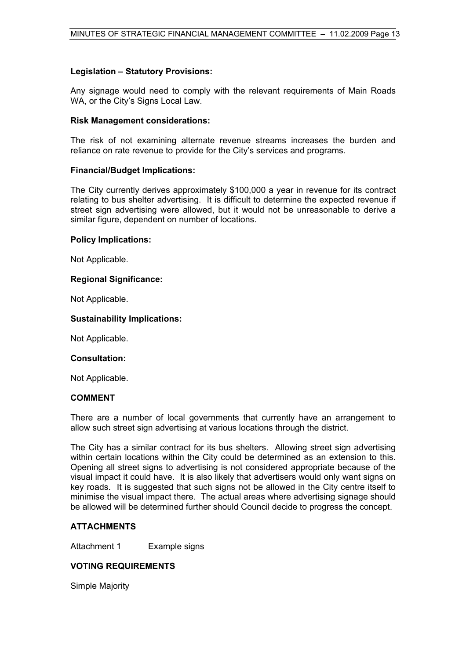# **Legislation – Statutory Provisions:**

Any signage would need to comply with the relevant requirements of Main Roads WA, or the City's Signs Local Law.

#### **Risk Management considerations:**

The risk of not examining alternate revenue streams increases the burden and reliance on rate revenue to provide for the City's services and programs.

#### **Financial/Budget Implications:**

The City currently derives approximately \$100,000 a year in revenue for its contract relating to bus shelter advertising. It is difficult to determine the expected revenue if street sign advertising were allowed, but it would not be unreasonable to derive a similar figure, dependent on number of locations.

#### **Policy Implications:**

Not Applicable.

#### **Regional Significance:**

Not Applicable.

#### **Sustainability Implications:**

Not Applicable.

#### **Consultation:**

Not Applicable.

#### **COMMENT**

There are a number of local governments that currently have an arrangement to allow such street sign advertising at various locations through the district.

The City has a similar contract for its bus shelters. Allowing street sign advertising within certain locations within the City could be determined as an extension to this. Opening all street signs to advertising is not considered appropriate because of the visual impact it could have. It is also likely that advertisers would only want signs on key roads. It is suggested that such signs not be allowed in the City centre itself to minimise the visual impact there. The actual areas where advertising signage should be allowed will be determined further should Council decide to progress the concept.

#### **ATTACHMENTS**

Attachment 1 Example signs

# **VOTING REQUIREMENTS**

Simple Majority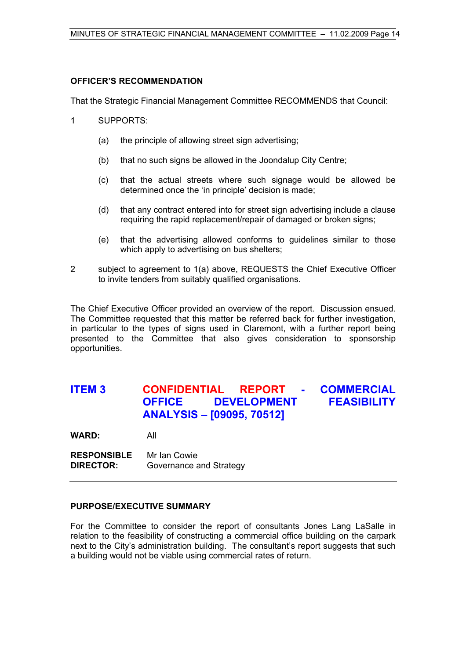# **OFFICER'S RECOMMENDATION**

That the Strategic Financial Management Committee RECOMMENDS that Council:

- 1 SUPPORTS:
	- (a) the principle of allowing street sign advertising;
	- (b) that no such signs be allowed in the Joondalup City Centre;
	- (c) that the actual streets where such signage would be allowed be determined once the 'in principle' decision is made;
	- (d) that any contract entered into for street sign advertising include a clause requiring the rapid replacement/repair of damaged or broken signs;
	- (e) that the advertising allowed conforms to guidelines similar to those which apply to advertising on bus shelters;
- 2 subject to agreement to 1(a) above, REQUESTS the Chief Executive Officer to invite tenders from suitably qualified organisations.

The Chief Executive Officer provided an overview of the report. Discussion ensued. The Committee requested that this matter be referred back for further investigation, in particular to the types of signs used in Claremont, with a further report being presented to the Committee that also gives consideration to sponsorship opportunities.

# **ITEM 3 CONFIDENTIAL REPORT - COMMERCIAL OFFICE DEVELOPMENT FEASIBILITY ANALYSIS – [09095, 70512]**

**WARD:** All

**RESPONSIBLE** Mr Ian Cowie **DIRECTOR:** Governance and Strategy

#### **PURPOSE/EXECUTIVE SUMMARY**

For the Committee to consider the report of consultants Jones Lang LaSalle in relation to the feasibility of constructing a commercial office building on the carpark next to the City's administration building. The consultant's report suggests that such a building would not be viable using commercial rates of return.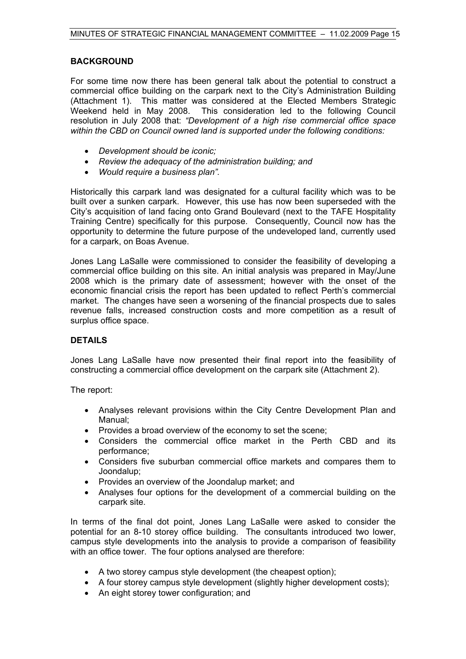# **BACKGROUND**

For some time now there has been general talk about the potential to construct a commercial office building on the carpark next to the City's Administration Building (Attachment 1). This matter was considered at the Elected Members Strategic Weekend held in May 2008. This consideration led to the following Council resolution in July 2008 that: *"Development of a high rise commercial office space within the CBD on Council owned land is supported under the following conditions:* 

- *Development should be iconic;*
- *Review the adequacy of the administration building; and*
- *Would require a business plan".*

Historically this carpark land was designated for a cultural facility which was to be built over a sunken carpark. However, this use has now been superseded with the City's acquisition of land facing onto Grand Boulevard (next to the TAFE Hospitality Training Centre) specifically for this purpose. Consequently, Council now has the opportunity to determine the future purpose of the undeveloped land, currently used for a carpark, on Boas Avenue.

Jones Lang LaSalle were commissioned to consider the feasibility of developing a commercial office building on this site. An initial analysis was prepared in May/June 2008 which is the primary date of assessment; however with the onset of the economic financial crisis the report has been updated to reflect Perth's commercial market. The changes have seen a worsening of the financial prospects due to sales revenue falls, increased construction costs and more competition as a result of surplus office space.

# **DETAILS**

Jones Lang LaSalle have now presented their final report into the feasibility of constructing a commercial office development on the carpark site (Attachment 2).

The report:

- Analyses relevant provisions within the City Centre Development Plan and Manual;
- Provides a broad overview of the economy to set the scene;
- Considers the commercial office market in the Perth CBD and its performance;
- Considers five suburban commercial office markets and compares them to Joondalup;
- Provides an overview of the Joondalup market; and
- Analyses four options for the development of a commercial building on the carpark site.

In terms of the final dot point, Jones Lang LaSalle were asked to consider the potential for an 8-10 storey office building. The consultants introduced two lower, campus style developments into the analysis to provide a comparison of feasibility with an office tower. The four options analysed are therefore:

- A two storey campus style development (the cheapest option);
- A four storey campus style development (slightly higher development costs);
- An eight storey tower configuration; and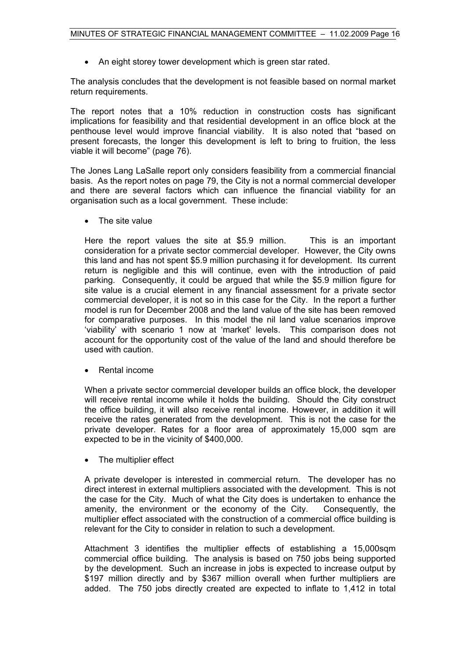• An eight storey tower development which is green star rated.

The analysis concludes that the development is not feasible based on normal market return requirements.

The report notes that a 10% reduction in construction costs has significant implications for feasibility and that residential development in an office block at the penthouse level would improve financial viability. It is also noted that "based on present forecasts, the longer this development is left to bring to fruition, the less viable it will become" (page 76).

The Jones Lang LaSalle report only considers feasibility from a commercial financial basis. As the report notes on page 79, the City is not a normal commercial developer and there are several factors which can influence the financial viability for an organisation such as a local government. These include:

• The site value

Here the report values the site at \$5.9 million. This is an important consideration for a private sector commercial developer. However, the City owns this land and has not spent \$5.9 million purchasing it for development. Its current return is negligible and this will continue, even with the introduction of paid parking. Consequently, it could be argued that while the \$5.9 million figure for site value is a crucial element in any financial assessment for a private sector commercial developer, it is not so in this case for the City. In the report a further model is run for December 2008 and the land value of the site has been removed for comparative purposes. In this model the nil land value scenarios improve 'viability' with scenario 1 now at 'market' levels. This comparison does not account for the opportunity cost of the value of the land and should therefore be used with caution.

Rental income

When a private sector commercial developer builds an office block, the developer will receive rental income while it holds the building. Should the City construct the office building, it will also receive rental income. However, in addition it will receive the rates generated from the development. This is not the case for the private developer. Rates for a floor area of approximately 15,000 sqm are expected to be in the vicinity of \$400,000.

• The multiplier effect

A private developer is interested in commercial return. The developer has no direct interest in external multipliers associated with the development. This is not the case for the City. Much of what the City does is undertaken to enhance the amenity, the environment or the economy of the City. Consequently, the multiplier effect associated with the construction of a commercial office building is relevant for the City to consider in relation to such a development.

Attachment 3 identifies the multiplier effects of establishing a 15,000sqm commercial office building. The analysis is based on 750 jobs being supported by the development. Such an increase in jobs is expected to increase output by \$197 million directly and by \$367 million overall when further multipliers are added. The 750 jobs directly created are expected to inflate to 1,412 in total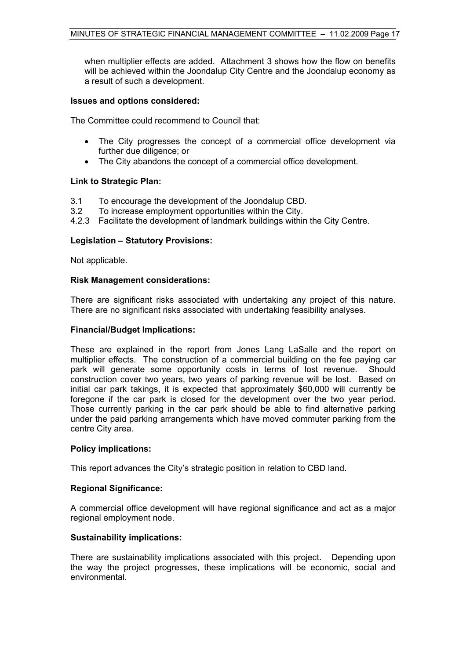when multiplier effects are added. Attachment 3 shows how the flow on benefits will be achieved within the Joondalup City Centre and the Joondalup economy as a result of such a development.

## **Issues and options considered:**

The Committee could recommend to Council that:

- The City progresses the concept of a commercial office development via further due diligence; or
- The City abandons the concept of a commercial office development.

# **Link to Strategic Plan:**

- 3.1 To encourage the development of the Joondalup CBD.
- 3.2 To increase employment opportunities within the City.
- 4.2.3 Facilitate the development of landmark buildings within the City Centre.

# **Legislation – Statutory Provisions:**

Not applicable.

# **Risk Management considerations:**

There are significant risks associated with undertaking any project of this nature. There are no significant risks associated with undertaking feasibility analyses.

## **Financial/Budget Implications:**

These are explained in the report from Jones Lang LaSalle and the report on multiplier effects. The construction of a commercial building on the fee paying car park will generate some opportunity costs in terms of lost revenue. Should construction cover two years, two years of parking revenue will be lost. Based on initial car park takings, it is expected that approximately \$60,000 will currently be foregone if the car park is closed for the development over the two year period. Those currently parking in the car park should be able to find alternative parking under the paid parking arrangements which have moved commuter parking from the centre City area.

#### **Policy implications:**

This report advances the City's strategic position in relation to CBD land.

#### **Regional Significance:**

A commercial office development will have regional significance and act as a major regional employment node.

#### **Sustainability implications:**

There are sustainability implications associated with this project. Depending upon the way the project progresses, these implications will be economic, social and environmental.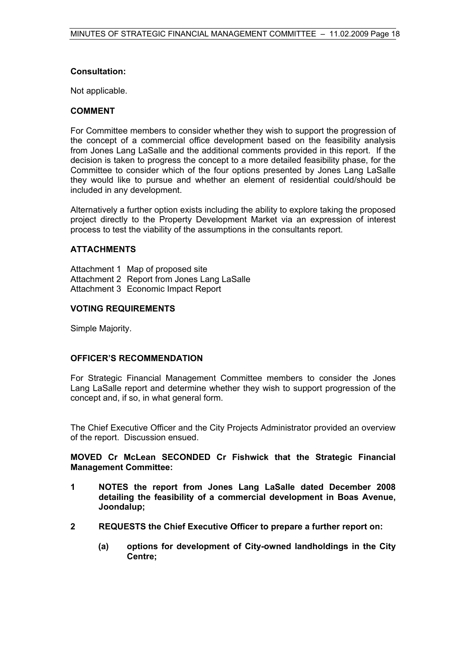# **Consultation:**

Not applicable.

# **COMMENT**

For Committee members to consider whether they wish to support the progression of the concept of a commercial office development based on the feasibility analysis from Jones Lang LaSalle and the additional comments provided in this report. If the decision is taken to progress the concept to a more detailed feasibility phase, for the Committee to consider which of the four options presented by Jones Lang LaSalle they would like to pursue and whether an element of residential could/should be included in any development.

Alternatively a further option exists including the ability to explore taking the proposed project directly to the Property Development Market via an expression of interest process to test the viability of the assumptions in the consultants report.

# **ATTACHMENTS**

Attachment 1 Map of proposed site Attachment 2 Report from Jones Lang LaSalle Attachment 3 Economic Impact Report

# **VOTING REQUIREMENTS**

Simple Majority.

#### **OFFICER'S RECOMMENDATION**

For Strategic Financial Management Committee members to consider the Jones Lang LaSalle report and determine whether they wish to support progression of the concept and, if so, in what general form.

The Chief Executive Officer and the City Projects Administrator provided an overview of the report. Discussion ensued.

**MOVED Cr McLean SECONDED Cr Fishwick that the Strategic Financial Management Committee:** 

- **1 NOTES the report from Jones Lang LaSalle dated December 2008 detailing the feasibility of a commercial development in Boas Avenue, Joondalup;**
- **2 REQUESTS the Chief Executive Officer to prepare a further report on:** 
	- **(a) options for development of City-owned landholdings in the City Centre;**